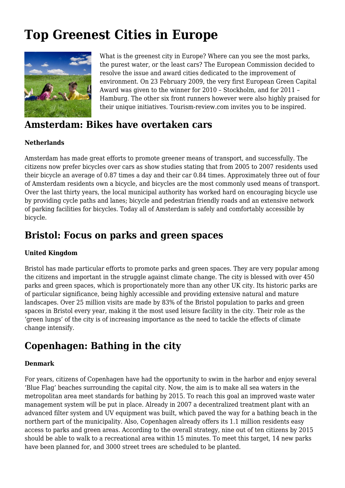# **Top Greenest Cities in Europe**



What is the greenest city in Europe? Where can you see the most parks, the purest water, or the least cars? The European Commission decided to resolve the issue and award cities dedicated to the improvement of environment. On 23 February 2009, the very first European Green Capital Award was given to the winner for 2010 – Stockholm, and for 2011 – Hamburg. The other six front runners however were also highly praised for their unique initiatives. Tourism-review.com invites you to be inspired.

### **Amsterdam: Bikes have overtaken cars**

### **Netherlands**

Amsterdam has made great efforts to promote greener means of transport, and successfully. The citizens now prefer bicycles over cars as show studies stating that from 2005 to 2007 residents used their bicycle an average of 0.87 times a day and their car 0.84 times. Approximately three out of four of Amsterdam residents own a bicycle, and bicycles are the most commonly used means of transport. Over the last thirty years, the local municipal authority has worked hard on encouraging bicycle use by providing cycle paths and lanes; bicycle and pedestrian friendly roads and an extensive network of parking facilities for bicycles. Today all of Amsterdam is safely and comfortably accessible by bicycle.

### **Bristol: Focus on parks and green spaces**

### **United Kingdom**

Bristol has made particular efforts to promote parks and green spaces. They are very popular among the citizens and important in the struggle against climate change. The city is blessed with over 450 parks and green spaces, which is proportionately more than any other UK city. Its historic parks are of particular significance, being highly accessible and providing extensive natural and mature landscapes. Over 25 million visits are made by 83% of the Bristol population to parks and green spaces in Bristol every year, making it the most used leisure facility in the city. Their role as the 'green lungs' of the city is of increasing importance as the need to tackle the effects of climate change intensify.

# **Copenhagen: Bathing in the city**

#### **Denmark**

For years, citizens of Copenhagen have had the opportunity to swim in the harbor and enjoy several 'Blue Flag' beaches surrounding the capital city. Now, the aim is to make all sea waters in the metropolitan area meet standards for bathing by 2015. To reach this goal an improved waste water management system will be put in place. Already in 2007 a decentralized treatment plant with an advanced filter system and UV equipment was built, which paved the way for a bathing beach in the northern part of the municipality. Also, Copenhagen already offers its 1.1 million residents easy access to parks and green areas. According to the overall strategy, nine out of ten citizens by 2015 should be able to walk to a recreational area within 15 minutes. To meet this target, 14 new parks have been planned for, and 3000 street trees are scheduled to be planted.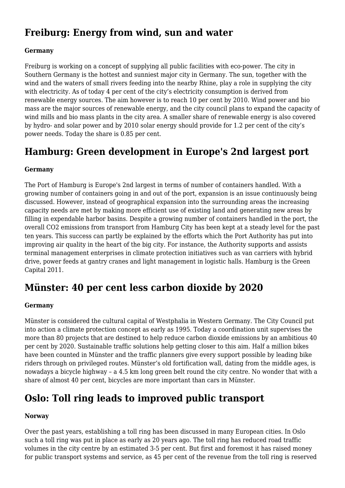# **Freiburg: Energy from wind, sun and water**

#### **Germany**

Freiburg is working on a concept of supplying all public facilities with eco-power. The city in Southern Germany is the hottest and sunniest major city in Germany. The sun, together with the wind and the waters of small rivers feeding into the nearby Rhine, play a role in supplying the city with electricity. As of today 4 per cent of the city's electricity consumption is derived from renewable energy sources. The aim however is to reach 10 per cent by 2010. Wind power and bio mass are the major sources of renewable energy, and the city council plans to expand the capacity of wind mills and bio mass plants in the city area. A smaller share of renewable energy is also covered by hydro- and solar power and by 2010 solar energy should provide for 1.2 per cent of the city's power needs. Today the share is 0.85 per cent.

# **Hamburg: Green development in Europe's 2nd largest port**

#### **Germany**

The Port of Hamburg is Europe's 2nd largest in terms of number of containers handled. With a growing number of containers going in and out of the port, expansion is an issue continuously being discussed. However, instead of geographical expansion into the surrounding areas the increasing capacity needs are met by making more efficient use of existing land and generating new areas by filling in expendable harbor basins. Despite a growing number of containers handled in the port, the overall CO2 emissions from transport from Hamburg City has been kept at a steady level for the past ten years. This success can partly be explained by the efforts which the Port Authority has put into improving air quality in the heart of the big city. For instance, the Authority supports and assists terminal management enterprises in climate protection initiatives such as van carriers with hybrid drive, power feeds at gantry cranes and light management in logistic halls. Hamburg is the Green Capital 2011.

### **Münster: 40 per cent less carbon dioxide by 2020**

#### **Germany**

Münster is considered the cultural capital of Westphalia in Western Germany. The City Council put into action a climate protection concept as early as 1995. Today a coordination unit supervises the more than 80 projects that are destined to help reduce carbon dioxide emissions by an ambitious 40 per cent by 2020. Sustainable traffic solutions help getting closer to this aim. Half a million bikes have been counted in Münster and the traffic planners give every support possible by leading bike riders through on privileged routes. Münster's old fortification wall, dating from the middle ages, is nowadays a bicycle highway – a 4.5 km long green belt round the city centre. No wonder that with a share of almost 40 per cent, bicycles are more important than cars in Münster.

# **Oslo: Toll ring leads to improved public transport**

### **Norway**

Over the past years, establishing a toll ring has been discussed in many European cities. In Oslo such a toll ring was put in place as early as 20 years ago. The toll ring has reduced road traffic volumes in the city centre by an estimated 3-5 per cent. But first and foremost it has raised money for public transport systems and service, as 45 per cent of the revenue from the toll ring is reserved